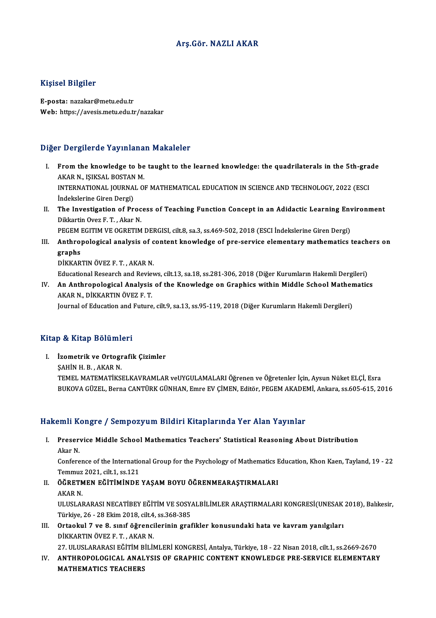### Arş.Gör.NAZLI AKAR

### Kişisel Bilgiler

E-posta: nazakar@metu.edu.tr Web: https://avesis.metu.edu.tr/nazakar

# Diğer Dergilerde Yayınlanan Makaleler

- Iger Dergilerde Yayınlanan Makaleler<br>I. From the knowledge to be taught to the learned knowledge: the quadrilaterals in the 5th-grade<br>AKAR N. ISIKSAL POSTAN M From the knowledge to be<br>AKAR N., IŞIKSAL BOSTAN M.<br>INTERNATIONAL JOURNAL O From the knowledge to be taught to the learned knowledge: the quadrilaterals in the 5th-gra<br>AKAR N., IŞIKSAL BOSTAN M.<br>INTERNATIONAL JOURNAL OF MATHEMATICAL EDUCATION IN SCIENCE AND TECHNOLOGY, 2022 (ESCI<br>Indekslerine Cire AKAR N., IŞIKSAL BOSTAN<br>INTERNATIONAL JOURNA<br>İndekslerine Giren Dergi)<br>The Investigation of Br INTERNATIONAL JOURNAL OF MATHEMATICAL EDUCATION IN SCIENCE AND TECHNOLOGY, 2022 (ESCI<br>Indekslerine Giren Dergi)<br>II. The Investigation of Process of Teaching Function Concept in an Adidactic Learning Environment<br>Dikkertin O
- Indekslerine Giren Dergi)<br>The Investigation of Proc<br>Dikkartin Ovez F. T. , Akar N.<br>RECEM ECITIM VE OCRETIM The Investigation of Process of Teaching Function Concept in an Adidactic Learning Env<br>Dikkartin Ovez F. T. , Akar N.<br>PEGEM EGITIM VE OGRETIM DERGISI, cilt.8, sa.3, ss.469-502, 2018 (ESCI İndekslerine Giren Dergi)<br>Anthropo

Dikkartin Ovez F. T. , Akar N.<br>PEGEM EGITIM VE OGRETIM DERGISI, cilt.8, sa.3, ss.469-502, 2018 (ESCI İndekslerine Giren Dergi)<br>III. Anthropological analysis of content knowledge of pre-service elementary mathematics te PEGEM I<br>Anthro<sub>l</sub><br>graphs<br>DikkAP Anthropological analysis of c<br>graphs<br>DİKKARTIN ÖVEZ F.T., AKAR N.<br>Educational Bessareb and Bevier **graphs**<br>DİKKARTIN ÖVEZ F. T. , AKAR N.<br>Educational Research and Reviews, cilt.13, sa.18, ss.281-306, 2018 (Diğer Kurumların Hakemli Dergileri)

DİKKARTIN ÖVEZ F. T. , AKAR N.<br>Educational Research and Reviews, cilt.13, sa.18, ss.281-306, 2018 (Diğer Kurumların Hakemli Dergileri)<br>IV. An Anthropological Analysis of the Knowledge on Graphics within Middle School Mathe Educational Research and Revie<br>An Anthropological Analysis<br>AKAR N., DİKKARTIN ÖVEZ F. T.<br>Journal of Education and Euture AKAR N., DİKKARTIN ÖVEZ F. T.<br>Journal of Education and Future, cilt.9, sa.13, ss.95-119, 2018 (Diğer Kurumların Hakemli Dergileri)

# Kitap & Kitap Bölümleri

Itap & Kitap Bölümleri<br>I. İzometrik ve Ortografik Çizimler<br>SAHİNH B. AKAB N **Extract Domain:**<br>Izometrik ve Ortogr<br>ŞAHİN H. B. , AKAR N.<br>TEMEL MATEMATIKSI ŞAHİN H. B. , AKAR N.<br>TEMEL MATEMATİKSELKAVRAMLAR veUYGULAMALARI Öğrenen ve Öğretenler İçin, Aysun Nüket ELÇİ, Esra BUKOVA GÜZEL, Berna CANTÜRK GÜNHAN, Emre EV ÇİMEN, Editör, PEGEM AKADEMİ, Ankara, ss.605-615, 2016

# Hakemli Kongre / Sempozyum Bildiri Kitaplarında Yer Alan Yayınlar

akemli Kongre / Sempozyum Bildiri Kitaplarında Yer Alan Yayınlar<br>I. Preservice Middle School Mathematics Teachers' Statistical Reasoning About Distribution<br>Akar N AHIT IN<br>Preser<br>Akar N. Preservice Middle School Mathematics Teachers' Statistical Reasoning About Distribution<br>Akar N.<br>Conference of the International Group for the Psychology of Mathematics Education, Khon Kaen, Tayland, 19 - 22<br>Temmus 2021, ci

Akar N.<br>Conference of the Internatio<br>Temmuz 2021, cilt.1, ss.121<br>ÖČPFTMEN FČİTİMİNDE Conference of the International Group for the Psychology of Mathematics I<br>Temmuz 2021, cilt.1, ss.121<br>II. ÖĞRETMEN EĞİTİMİNDE YAŞAM BOYU ÖĞRENMEARAŞTIRMALARI<br>AKAR N

- Temmuz<br><mark>ÖĞRETM</mark><br>AKAR N.<br>III IISLAI ÖĞRETMEN EĞİTİMİNDE YAŞAM BOYU ÖĞRENMEARAŞTIRMALARI<br>AKAR N.<br>ULUSLARARASI NECATİBEY EĞİTİM VE SOSYALBİLİMLER ARAŞTIRMALARI KONGRESİ(UNESAK 2018), Balıkesir,<br>Türkiye 26, 28 Ekim 2018, cilt*a s*e 268 295. AKAR N.<br>ULUSLARARASI NECATİBEY EĞİTİM VE SOSY.<br>Türkiye, 26 - 28 Ekim 2018, cilt.4, ss.368-385<br>Ortaokul 7 ve 8. sunf öğrensilerinin srat
- ULUSLARARASI NECATIBEY EĞİTIM VE SOSYALBILIMLER ARAŞTIRMALARI KONGRESI(UNESAK<br>Türkiye, 26 28 Ekim 2018, cilt.4, ss.368-385<br>III. Ortaokul 7 ve 8. sınıf öğrencilerinin grafikler konusundaki hata ve kavram yanılgıları<br>DİKKA Türkiye, 26 - 28 Ekim 2018, cilt.4<br>Ortaokul 7 ve 8. sınıf öğrenci<br>DİKKARTIN ÖVEZ F.T. , AKAR N.<br>27 ULUSLARARASI FĞİTİM BİLİL Ortaokul 7 ve 8. sınıf öğrencilerinin grafikler konusundaki hata ve kavram yanılgıları<br>DİKKARTIN ÖVEZ F. T. , AKAR N.<br>27. ULUSLARARASI EĞİTİM BİLİMLERİ KONGRESİ, Antalya, Türkiye, 18 - 22 Nisan 2018, cilt.1, ss.2669-2670<br>A

DİKKARTIN ÖVEZ F. T. , AKAR N.<br>27. ULUSLARARASI EĞİTİM BİLİMLERİ KONGRESİ, Antalya, Türkiye, 18 - 22 Nisan 2018, cilt.1, ss.2669-2670<br>IV. ANTHROPOLOGICAL ANALYSIS OF GRAPHIC CONTENT KNOWLEDGE PRE-SERVICE ELEMENTARY<br>MAT 27. ULUSLARARASI EĞİTİM B<br><mark>ANTHROPOLOGICAL ANAL</mark><br>MATHEMATICS TEACHERS